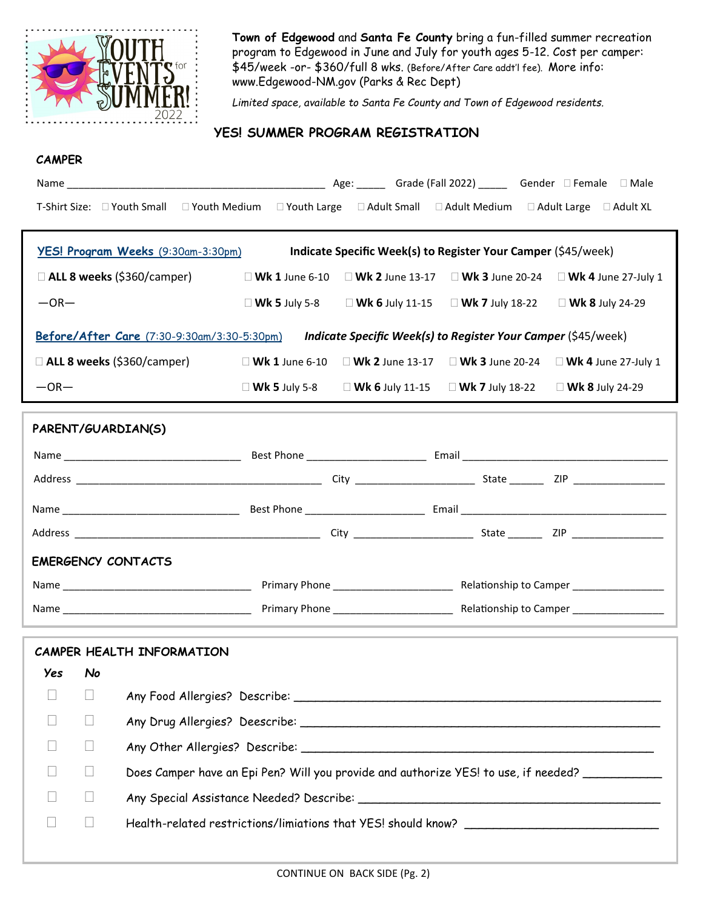

**Town of Edgewood** and **Santa Fe County** bring a fun-filled summer recreation program to Edgewood in June and July for youth ages 5-12. Cost per camper: \$45/week -or- \$360/full 8 wks. (Before/After Care addt'l fee). More info: www.Edgewood-NM.gov (Parks & Rec Dept)

*Limited space, available to Santa Fe County and Town of Edgewood residents.*

### **YES! SUMMER PROGRAM REGISTRATION**

#### **CAMPER**

|                                                                                                                 |        | T-Shirt Size: □ Youth Small □ Youth Medium □ Youth Large □ Adult Small □ Adult Medium □ Adult Large □ Adult XL  |  |  |                                                                                           |  |  |  |
|-----------------------------------------------------------------------------------------------------------------|--------|-----------------------------------------------------------------------------------------------------------------|--|--|-------------------------------------------------------------------------------------------|--|--|--|
| <b>YES! Program Weeks</b> (9:30am-3:30pm)<br>Indicate Specific Week(s) to Register Your Camper (\$45/week)      |        |                                                                                                                 |  |  |                                                                                           |  |  |  |
|                                                                                                                 |        | □ ALL 8 weeks (\$360/camper) $□$ Wk 1 June 6-10 $□$ Wk 2 June 13-17 $□$ Wk 3 June 20-24 $□$ Wk 4 June 27-July 1 |  |  |                                                                                           |  |  |  |
| $-OR-$                                                                                                          |        |                                                                                                                 |  |  |                                                                                           |  |  |  |
| $\Box$ Wk 5 July 5-8 $\Box$ Wk 6 July 11-15 $\Box$ Wk 7 July 18-22 $\Box$ Wk 8 July 24-29                       |        |                                                                                                                 |  |  |                                                                                           |  |  |  |
| Before/After Care (7:30-9:30am/3:30-5:30pm) Indicate Specific Week(s) to Register Your Camper (\$45/week)       |        |                                                                                                                 |  |  |                                                                                           |  |  |  |
| □ ALL 8 weeks (\$360/camper) $□$ Wk 1 June 6-10 $□$ Wk 2 June 13-17 $□$ Wk 3 June 20-24 $□$ Wk 4 June 27-July 1 |        |                                                                                                                 |  |  |                                                                                           |  |  |  |
| $-OR-$                                                                                                          |        |                                                                                                                 |  |  | $\Box$ Wk 5 July 5-8 $\Box$ Wk 6 July 11-15 $\Box$ Wk 7 July 18-22 $\Box$ Wk 8 July 24-29 |  |  |  |
|                                                                                                                 |        |                                                                                                                 |  |  |                                                                                           |  |  |  |
| PARENT/GUARDIAN(S)                                                                                              |        |                                                                                                                 |  |  |                                                                                           |  |  |  |
|                                                                                                                 |        |                                                                                                                 |  |  |                                                                                           |  |  |  |
|                                                                                                                 |        |                                                                                                                 |  |  |                                                                                           |  |  |  |
|                                                                                                                 |        |                                                                                                                 |  |  |                                                                                           |  |  |  |
|                                                                                                                 |        |                                                                                                                 |  |  |                                                                                           |  |  |  |
| <b>EMERGENCY CONTACTS</b>                                                                                       |        |                                                                                                                 |  |  |                                                                                           |  |  |  |
|                                                                                                                 |        |                                                                                                                 |  |  |                                                                                           |  |  |  |
|                                                                                                                 |        |                                                                                                                 |  |  |                                                                                           |  |  |  |
|                                                                                                                 |        |                                                                                                                 |  |  |                                                                                           |  |  |  |
| CAMPER HEALTH INFORMATION                                                                                       |        |                                                                                                                 |  |  |                                                                                           |  |  |  |
| Yes                                                                                                             | No     |                                                                                                                 |  |  |                                                                                           |  |  |  |
|                                                                                                                 |        |                                                                                                                 |  |  |                                                                                           |  |  |  |
|                                                                                                                 |        |                                                                                                                 |  |  |                                                                                           |  |  |  |
|                                                                                                                 | П      |                                                                                                                 |  |  |                                                                                           |  |  |  |
|                                                                                                                 | $\Box$ | Does Camper have an Epi Pen? Will you provide and authorize YES! to use, if needed?                             |  |  |                                                                                           |  |  |  |
|                                                                                                                 | $\Box$ |                                                                                                                 |  |  |                                                                                           |  |  |  |
|                                                                                                                 | $\Box$ |                                                                                                                 |  |  |                                                                                           |  |  |  |
|                                                                                                                 |        |                                                                                                                 |  |  |                                                                                           |  |  |  |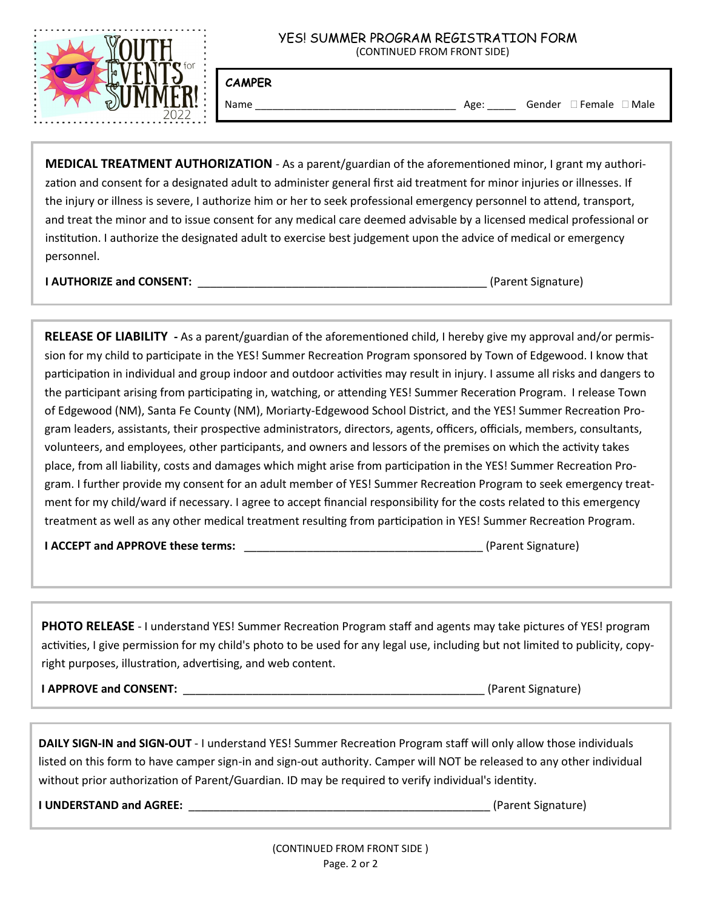

# YES! SUMMER PROGRAM REGISTRATION FORM

(CONTINUED FROM FRONT SIDE)

**CAMPER**

Name \_\_\_\_\_\_\_\_\_\_\_\_\_\_\_\_\_\_\_\_\_\_\_\_\_\_\_\_\_\_\_\_\_\_\_ Age: \_\_\_\_\_ Gender Female Male

**MEDICAL TREATMENT AUTHORIZATION** - As a parent/guardian of the aforementioned minor, I grant my authorization and consent for a designated adult to administer general first aid treatment for minor injuries or illnesses. If the injury or illness is severe, I authorize him or her to seek professional emergency personnel to attend, transport, and treat the minor and to issue consent for any medical care deemed advisable by a licensed medical professional or institution. I authorize the designated adult to exercise best judgement upon the advice of medical or emergency personnel.

**I AUTHORIZE and CONSENT:** \_\_\_\_\_\_\_\_\_\_\_\_\_\_\_\_\_\_\_\_\_\_\_\_\_\_\_\_\_\_\_\_\_\_\_\_\_\_\_\_\_\_\_\_\_\_ (Parent Signature)

**RELEASE OF LIABILITY -** As a parent/guardian of the aforementioned child, I hereby give my approval and/or permission for my child to participate in the YES! Summer Recreation Program sponsored by Town of Edgewood. I know that participation in individual and group indoor and outdoor activities may result in injury. I assume all risks and dangers to the participant arising from participating in, watching, or attending YES! Summer Receration Program. I release Town of Edgewood (NM), Santa Fe County (NM), Moriarty-Edgewood School District, and the YES! Summer Recreation Program leaders, assistants, their prospective administrators, directors, agents, officers, officials, members, consultants, volunteers, and employees, other participants, and owners and lessors of the premises on which the activity takes place, from all liability, costs and damages which might arise from participation in the YES! Summer Recreation Program. I further provide my consent for an adult member of YES! Summer Recreation Program to seek emergency treatment for my child/ward if necessary. I agree to accept financial responsibility for the costs related to this emergency treatment as well as any other medical treatment resulting from participation in YES! Summer Recreation Program.

**I ACCEPT and APPROVE these terms:** \_\_\_\_\_\_\_\_\_\_\_\_\_\_\_\_\_\_\_\_\_\_\_\_\_\_\_\_\_\_\_\_\_\_\_\_\_\_ (Parent Signature)

**PHOTO RELEASE** - I understand YES! Summer Recreation Program staff and agents may take pictures of YES! program activities, I give permission for my child's photo to be used for any legal use, including but not limited to publicity, copyright purposes, illustration, advertising, and web content.

**I APPROVE and CONSENT: Depictively** and **CONSENT: Example 2 CONSENT: Example 2 CONSENT: Example 2 CONSENT: Example 2 CONSENT: Example 2 CONSENT: EXAMPLE 2 CONSENT: EXAMPLE 2 CONSENT: EXAMPL** 

**DAILY SIGN-IN and SIGN-OUT** - I understand YES! Summer Recreation Program staff will only allow those individuals listed on this form to have camper sign-in and sign-out authority. Camper will NOT be released to any other individual without prior authorization of Parent/Guardian. ID may be required to verify individual's identity.

**I UNDERSTAND and AGREE: The actual of the actual of the actual of the actual of the actual of the actual of the actual of the actual of the actual of the actual of the actual of the actual of the actual of the actual of**